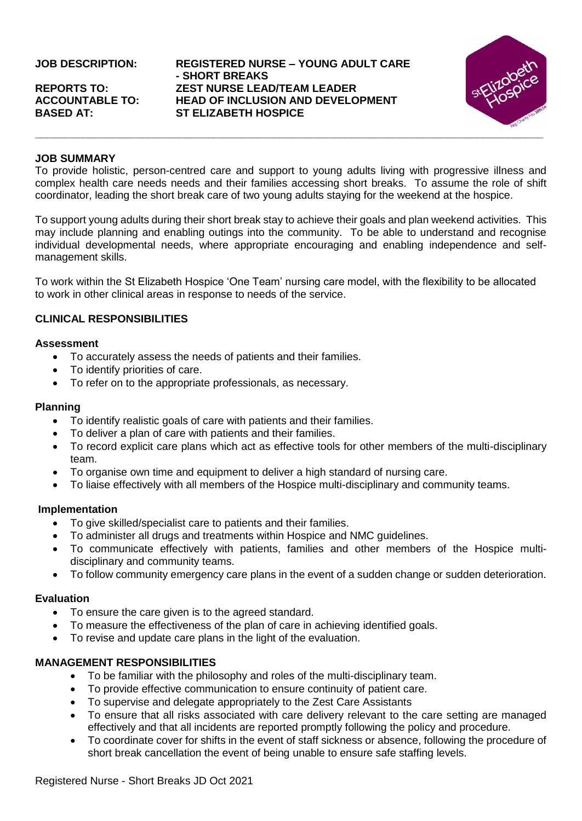#### **JOB DESCRIPTION: REGISTERED NURSE – YOUNG ADULT CARE - SHORT BREAKS REPORTS TO: ZEST NURSE LEAD/TEAM LEADER ACCOUNTABLE TO: HEAD OF INCLUSION AND DEVELOPMENT BASED AT: ST ELIZABETH HOSPICE**



#### **JOB SUMMARY**

To provide holistic, person-centred care and support to young adults living with progressive illness and complex health care needs needs and their families accessing short breaks. To assume the role of shift coordinator, leading the short break care of two young adults staying for the weekend at the hospice.

To support young adults during their short break stay to achieve their goals and plan weekend activities. This may include planning and enabling outings into the community. To be able to understand and recognise individual developmental needs, where appropriate encouraging and enabling independence and selfmanagement skills.

To work within the St Elizabeth Hospice 'One Team' nursing care model, with the flexibility to be allocated to work in other clinical areas in response to needs of the service.

# **CLINICAL RESPONSIBILITIES**

#### **Assessment**

- To accurately assess the needs of patients and their families.
- To identify priorities of care.
- To refer on to the appropriate professionals, as necessary.

#### **Planning**

- To identify realistic goals of care with patients and their families.
- To deliver a plan of care with patients and their families.
- To record explicit care plans which act as effective tools for other members of the multi-disciplinary team.
- To organise own time and equipment to deliver a high standard of nursing care.
- To liaise effectively with all members of the Hospice multi-disciplinary and community teams.

# **Implementation**

- To give skilled/specialist care to patients and their families.
- To administer all drugs and treatments within Hospice and NMC guidelines.
- To communicate effectively with patients, families and other members of the Hospice multidisciplinary and community teams.
- To follow community emergency care plans in the event of a sudden change or sudden deterioration.

# **Evaluation**

- To ensure the care given is to the agreed standard.
- To measure the effectiveness of the plan of care in achieving identified goals.
- To revise and update care plans in the light of the evaluation.

# **MANAGEMENT RESPONSIBILITIES**

- To be familiar with the philosophy and roles of the multi-disciplinary team.
- To provide effective communication to ensure continuity of patient care.
- To supervise and delegate appropriately to the Zest Care Assistants
- To ensure that all risks associated with care delivery relevant to the care setting are managed effectively and that all incidents are reported promptly following the policy and procedure.
- To coordinate cover for shifts in the event of staff sickness or absence, following the procedure of short break cancellation the event of being unable to ensure safe staffing levels.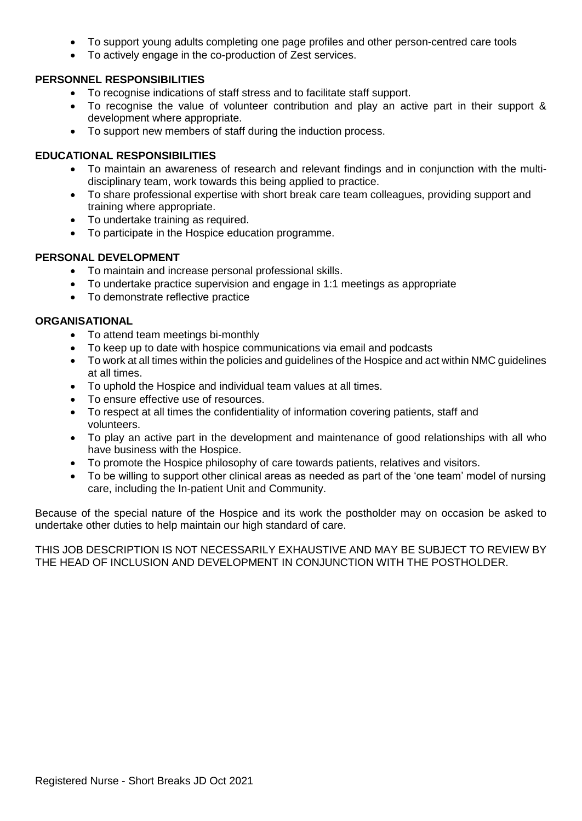- To support young adults completing one page profiles and other person-centred care tools
- To actively engage in the co-production of Zest services.

# **PERSONNEL RESPONSIBILITIES**

- To recognise indications of staff stress and to facilitate staff support.
- To recognise the value of volunteer contribution and play an active part in their support & development where appropriate.
- To support new members of staff during the induction process.

# **EDUCATIONAL RESPONSIBILITIES**

- To maintain an awareness of research and relevant findings and in conjunction with the multidisciplinary team, work towards this being applied to practice.
- To share professional expertise with short break care team colleagues, providing support and training where appropriate.
- To undertake training as required.
- To participate in the Hospice education programme.

# **PERSONAL DEVELOPMENT**

- To maintain and increase personal professional skills.
- To undertake practice supervision and engage in 1:1 meetings as appropriate
- To demonstrate reflective practice

# **ORGANISATIONAL**

- To attend team meetings bi-monthly
- To keep up to date with hospice communications via email and podcasts
- To work at all times within the policies and guidelines of the Hospice and act within NMC guidelines at all times.
- To uphold the Hospice and individual team values at all times.
- To ensure effective use of resources.
- To respect at all times the confidentiality of information covering patients, staff and volunteers.
- To play an active part in the development and maintenance of good relationships with all who have business with the Hospice.
- To promote the Hospice philosophy of care towards patients, relatives and visitors.
- To be willing to support other clinical areas as needed as part of the 'one team' model of nursing care, including the In-patient Unit and Community.

Because of the special nature of the Hospice and its work the postholder may on occasion be asked to undertake other duties to help maintain our high standard of care.

THIS JOB DESCRIPTION IS NOT NECESSARILY EXHAUSTIVE AND MAY BE SUBJECT TO REVIEW BY THE HEAD OF INCLUSION AND DEVELOPMENT IN CONJUNCTION WITH THE POSTHOLDER.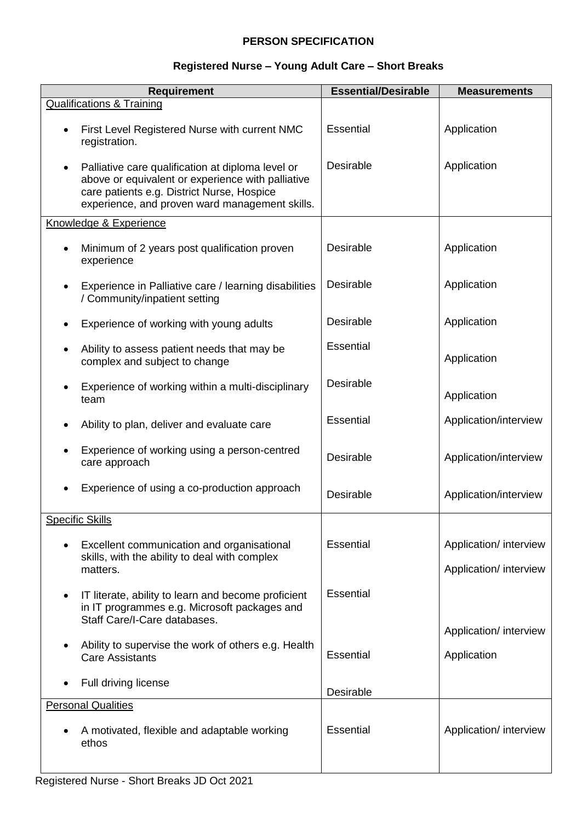# **PERSON SPECIFICATION**

# **Registered Nurse – Young Adult Care – Short Breaks**

| <b>Requirement</b>                   |                                                                                                                                                                                                        | <b>Essential/Desirable</b> | <b>Measurements</b>                              |
|--------------------------------------|--------------------------------------------------------------------------------------------------------------------------------------------------------------------------------------------------------|----------------------------|--------------------------------------------------|
| <b>Qualifications &amp; Training</b> |                                                                                                                                                                                                        |                            |                                                  |
|                                      | First Level Registered Nurse with current NMC<br>registration.                                                                                                                                         | Essential                  | Application                                      |
|                                      | Palliative care qualification at diploma level or<br>above or equivalent or experience with palliative<br>care patients e.g. District Nurse, Hospice<br>experience, and proven ward management skills. | Desirable                  | Application                                      |
|                                      | Knowledge & Experience                                                                                                                                                                                 |                            |                                                  |
|                                      | Minimum of 2 years post qualification proven<br>experience                                                                                                                                             | Desirable                  | Application                                      |
|                                      | Experience in Palliative care / learning disabilities<br>/ Community/inpatient setting                                                                                                                 | Desirable                  | Application                                      |
|                                      | Experience of working with young adults                                                                                                                                                                | Desirable                  | Application                                      |
|                                      | Ability to assess patient needs that may be<br>complex and subject to change                                                                                                                           | Essential                  | Application                                      |
|                                      | Experience of working within a multi-disciplinary<br>team                                                                                                                                              | Desirable                  | Application                                      |
|                                      | Ability to plan, deliver and evaluate care                                                                                                                                                             | <b>Essential</b>           | Application/interview                            |
|                                      | Experience of working using a person-centred<br>care approach                                                                                                                                          | Desirable                  | Application/interview                            |
|                                      | Experience of using a co-production approach                                                                                                                                                           | Desirable                  | Application/interview                            |
|                                      | <b>Specific Skills</b>                                                                                                                                                                                 |                            |                                                  |
|                                      | Excellent communication and organisational<br>skills, with the ability to deal with complex<br>matters.                                                                                                | <b>Essential</b>           | Application/ interview<br>Application/ interview |
|                                      | IT literate, ability to learn and become proficient<br>in IT programmes e.g. Microsoft packages and<br>Staff Care/I-Care databases.                                                                    | <b>Essential</b>           |                                                  |
|                                      | Ability to supervise the work of others e.g. Health<br><b>Care Assistants</b>                                                                                                                          | <b>Essential</b>           | Application/ interview<br>Application            |
|                                      | Full driving license                                                                                                                                                                                   | Desirable                  |                                                  |
|                                      | <b>Personal Qualities</b>                                                                                                                                                                              |                            |                                                  |
|                                      | A motivated, flexible and adaptable working<br>ethos                                                                                                                                                   | <b>Essential</b>           | Application/ interview                           |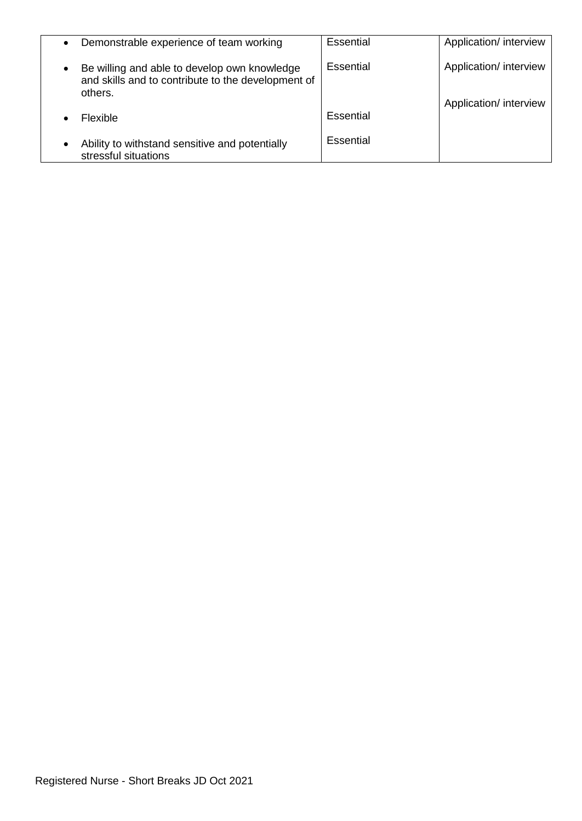| Demonstrable experience of team working                                                                       | Essential | Application/ interview |
|---------------------------------------------------------------------------------------------------------------|-----------|------------------------|
| Be willing and able to develop own knowledge<br>and skills and to contribute to the development of<br>others. | Essential | Application/ interview |
| Flexible                                                                                                      | Essential | Application/ interview |
| Ability to withstand sensitive and potentially<br>stressful situations                                        | Essential |                        |